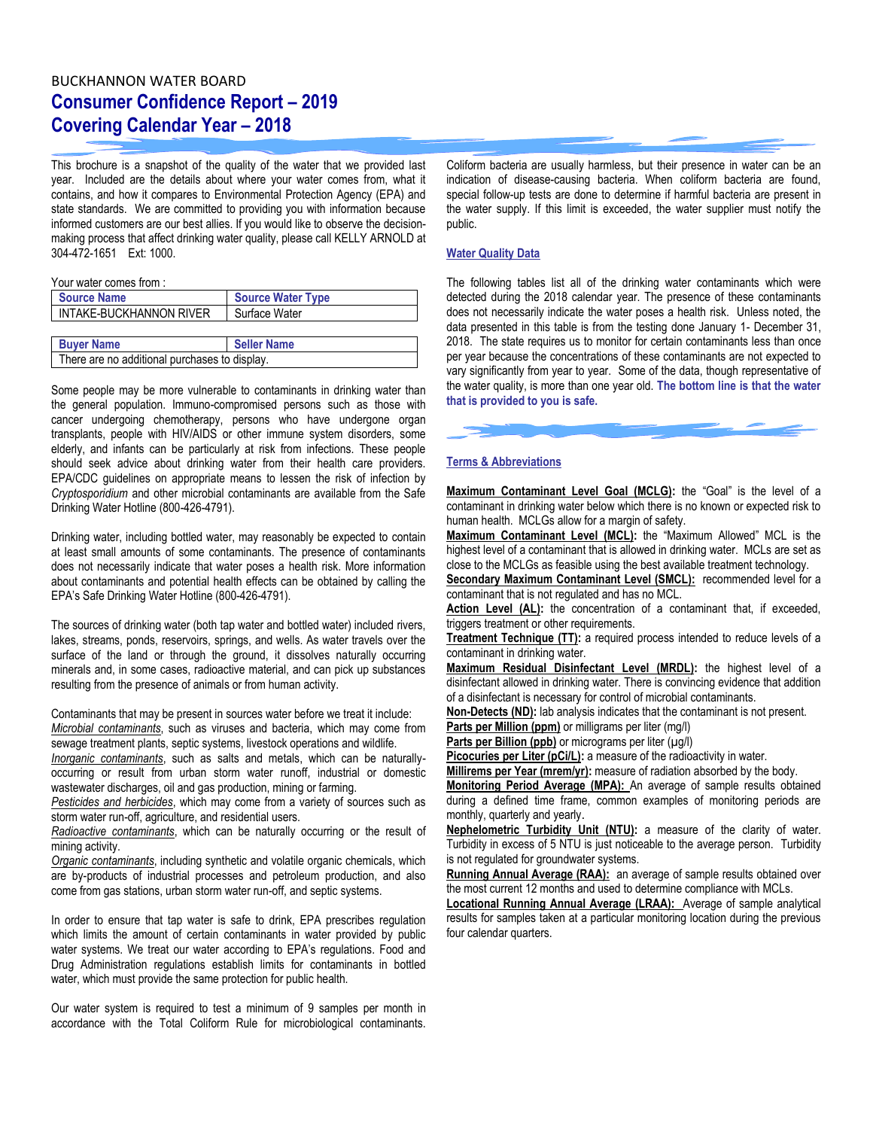## BUCKHANNON WATER BOARD **Consumer Confidence Report – 2019 Covering Calendar Year – 2018**

This brochure is a snapshot of the quality of the water that we provided last year. Included are the details about where your water comes from, what it contains, and how it compares to Environmental Protection Agency (EPA) and state standards. We are committed to providing you with information because informed customers are our best allies. If you would like to observe the decisionmaking process that affect drinking water quality, please call KELLY ARNOLD at 304-472-1651 Ext: 1000.

Your water comes from :

| <b>Source Name</b>                            | <b>Source Water Type</b> |  |  |  |
|-----------------------------------------------|--------------------------|--|--|--|
| INTAKE-BUCKHANNON RIVER                       | Surface Water            |  |  |  |
|                                               |                          |  |  |  |
| <b>Buyer Name</b><br><b>Seller Name</b>       |                          |  |  |  |
| There are no additional purchases to display. |                          |  |  |  |

Some people may be more vulnerable to contaminants in drinking water than the general population. Immuno-compromised persons such as those with cancer undergoing chemotherapy, persons who have undergone organ transplants, people with HIV/AIDS or other immune system disorders, some elderly, and infants can be particularly at risk from infections. These people should seek advice about drinking water from their health care providers. EPA/CDC guidelines on appropriate means to lessen the risk of infection by *Cryptosporidium* and other microbial contaminants are available from the Safe Drinking Water Hotline (800-426-4791).

Drinking water, including bottled water, may reasonably be expected to contain at least small amounts of some contaminants. The presence of contaminants does not necessarily indicate that water poses a health risk. More information about contaminants and potential health effects can be obtained by calling the EPA's Safe Drinking Water Hotline (800-426-4791).

The sources of drinking water (both tap water and bottled water) included rivers, lakes, streams, ponds, reservoirs, springs, and wells. As water travels over the surface of the land or through the ground, it dissolves naturally occurring minerals and, in some cases, radioactive material, and can pick up substances resulting from the presence of animals or from human activity.

Contaminants that may be present in sources water before we treat it include: *Microbial contaminants*, such as viruses and bacteria, which may come from sewage treatment plants, septic systems, livestock operations and wildlife.

*Inorganic contaminants*, such as salts and metals, which can be naturallyoccurring or result from urban storm water runoff, industrial or domestic wastewater discharges, oil and gas production, mining or farming.

*Pesticides and herbicides*, which may come from a variety of sources such as storm water run-off, agriculture, and residential users.

*Radioactive contaminants*, which can be naturally occurring or the result of mining activity.

*Organic contaminants*, including synthetic and volatile organic chemicals, which are by-products of industrial processes and petroleum production, and also come from gas stations, urban storm water run-off, and septic systems.

In order to ensure that tap water is safe to drink, EPA prescribes regulation which limits the amount of certain contaminants in water provided by public water systems. We treat our water according to EPA's regulations. Food and Drug Administration regulations establish limits for contaminants in bottled water, which must provide the same protection for public health.

Our water system is required to test a minimum of 9 samples per month in accordance with the Total Coliform Rule for microbiological contaminants.

Coliform bacteria are usually harmless, but their presence in water can be an indication of disease-causing bacteria. When coliform bacteria are found, special follow-up tests are done to determine if harmful bacteria are present in the water supply. If this limit is exceeded, the water supplier must notify the public.

## **Water Quality Data**

The following tables list all of the drinking water contaminants which were detected during the 2018 calendar year. The presence of these contaminants does not necessarily indicate the water poses a health risk. Unless noted, the data presented in this table is from the testing done January 1- December 31, 2018. The state requires us to monitor for certain contaminants less than once per year because the concentrations of these contaminants are not expected to vary significantly from year to year. Some of the data, though representative of the water quality, is more than one year old. **The bottom line is that the water that is provided to you is safe.**



## **Terms & Abbreviations**

**Maximum Contaminant Level Goal (MCLG):** the "Goal" is the level of a contaminant in drinking water below which there is no known or expected risk to human health. MCLGs allow for a margin of safety.

**Maximum Contaminant Level (MCL):** the "Maximum Allowed" MCL is the highest level of a contaminant that is allowed in drinking water. MCLs are set as close to the MCLGs as feasible using the best available treatment technology.

**Secondary Maximum Contaminant Level (SMCL):** recommended level for a contaminant that is not regulated and has no MCL.

**Action Level (AL):** the concentration of a contaminant that, if exceeded, triggers treatment or other requirements.

**Treatment Technique (TT):** a required process intended to reduce levels of a contaminant in drinking water.

**Maximum Residual Disinfectant Level (MRDL):** the highest level of a disinfectant allowed in drinking water. There is convincing evidence that addition of a disinfectant is necessary for control of microbial contaminants.

**Non-Detects (ND):** lab analysis indicates that the contaminant is not present.

**Parts per Million (ppm)** or milligrams per liter (mg/l)

Parts per Billion (ppb) or micrograms per liter (µg/l)

**Picocuries per Liter (pCi/L):** a measure of the radioactivity in water.

**Millirems per Year (mrem/yr):** measure of radiation absorbed by the body.

**Monitoring Period Average (MPA):** An average of sample results obtained during a defined time frame, common examples of monitoring periods are monthly, quarterly and yearly.

**Nephelometric Turbidity Unit (NTU):** a measure of the clarity of water. Turbidity in excess of 5 NTU is just noticeable to the average person. Turbidity is not regulated for groundwater systems.

**Running Annual Average (RAA):** an average of sample results obtained over the most current 12 months and used to determine compliance with MCLs.

**Locational Running Annual Average (LRAA):** Average of sample analytical results for samples taken at a particular monitoring location during the previous four calendar quarters.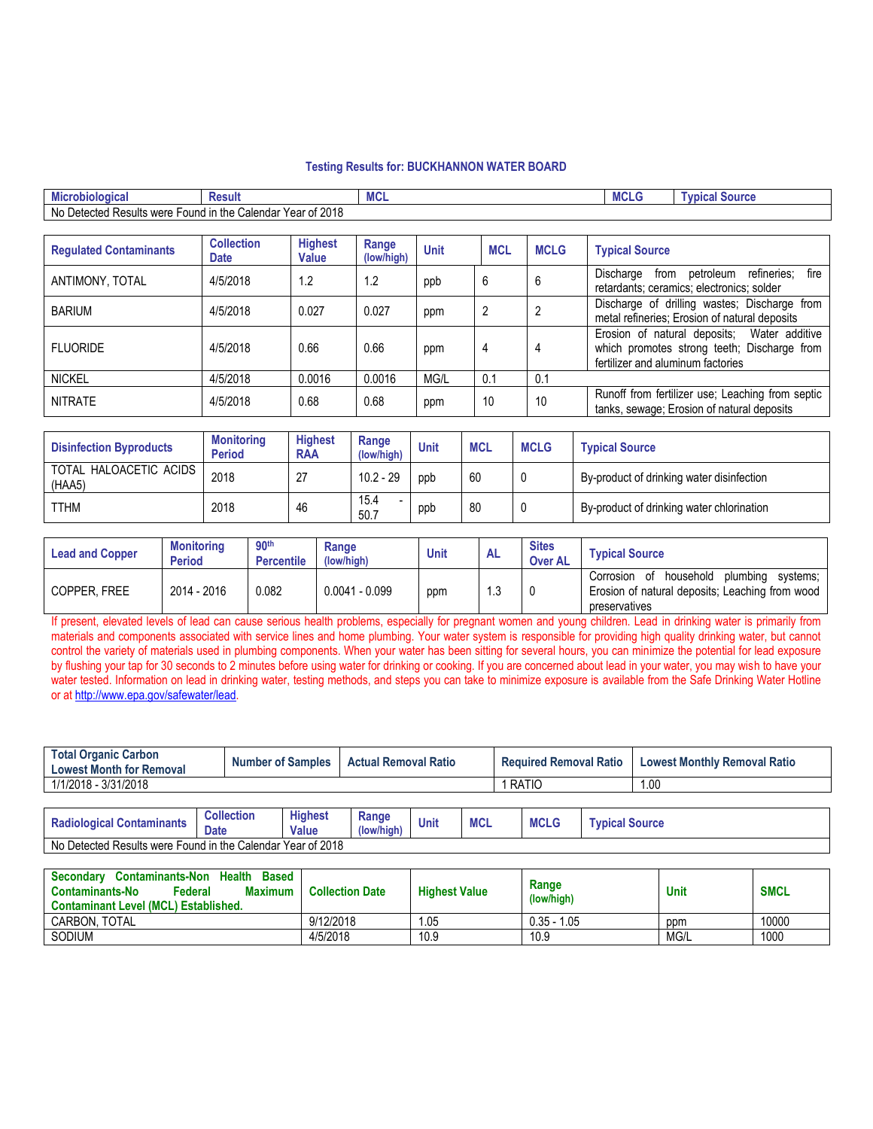## **Testing Results for: BUCKHANNON WATER BOARD**

| <b>DOM:</b><br><b>robiologica</b><br>Mici                                                                                           | ≺esult | $\overline{\phantom{a}}$<br>MUL | ---<br><b>MCL'</b> | <b>Source</b><br><b>Lypica</b> |  |
|-------------------------------------------------------------------------------------------------------------------------------------|--------|---------------------------------|--------------------|--------------------------------|--|
| ່ 2018<br>No<br>`the √<br>.esults were '<br>∶alendar<br>Yearof∶<br>Jetected<br>Found in<br>udlit"<br>vu<br>$\overline{\phantom{a}}$ |        |                                 |                    |                                |  |

| <b>Requlated Contaminants</b> | <b>Collection</b><br><b>Date</b> | <b>Highest</b><br><b>Value</b> | Range<br>(low/high) | <b>Unit</b> | <b>MCL</b> | <b>MCLG</b> | <b>Typical Source</b>                                                                                                           |
|-------------------------------|----------------------------------|--------------------------------|---------------------|-------------|------------|-------------|---------------------------------------------------------------------------------------------------------------------------------|
| ANTIMONY, TOTAL               | 4/5/2018                         | 1.2                            | 1.2                 | ppb         | 6          | -6          | refineries;<br>fire<br>Discharge<br>petroleum<br>from<br>retardants; ceramics; electronics; solder                              |
| <b>BARIUM</b>                 | 4/5/2018                         | 0.027                          | 0.027               | ppm         |            |             | Discharge of drilling wastes: Discharge from<br>metal refineries; Erosion of natural deposits                                   |
| <b>FLUORIDE</b>               | 4/5/2018                         | 0.66                           | 0.66                | ppm         | 4          | 4           | Erosion of natural deposits; Water additive<br>which promotes strong teeth; Discharge from<br>fertilizer and aluminum factories |
| <b>NICKEL</b>                 | 4/5/2018                         | 0.0016                         | 0.0016              | MG/L        | 0.1        | 0.1         |                                                                                                                                 |
| <b>NITRATE</b>                | 4/5/2018                         | 0.68                           | 0.68                | ppm         | 10         | 10          | Runoff from fertilizer use; Leaching from septic<br>tanks, sewage; Erosion of natural deposits                                  |

| <b>Disinfection Byproducts</b>   | <b>Monitoring</b><br><b>Period</b> | <b>Highest</b><br><b>RAA</b> | Range<br>(low/high) | Unit | <b>MCL</b> | <b>MCLG</b> | <b>Typical Source</b>                     |
|----------------------------------|------------------------------------|------------------------------|---------------------|------|------------|-------------|-------------------------------------------|
| TOTAL HALOACETIC ACIDS<br>(HAA5) | 2018                               | -27                          | $10.2 - 29$         | ppb  | 60         |             | By-product of drinking water disinfection |
| <b>TTHM</b>                      | 2018                               | 46                           | 15.4<br>50.7        | ppb  | 80         |             | By-product of drinking water chlorination |

| <b>Lead and Copper</b> | <b>Monitoring</b><br><b>Period</b> | 90 <sup>th</sup><br><b>Percentile</b> | Range<br>(low/high) | <b>Unit</b> | <b>AL</b> | <b>Sites</b><br><b>Over AL</b> | <b>Typical Source</b>                                                                                                 |
|------------------------|------------------------------------|---------------------------------------|---------------------|-------------|-----------|--------------------------------|-----------------------------------------------------------------------------------------------------------------------|
| COPPER, FREE           | 2014 - 2016                        | 0.082                                 | $0.0041 - 0.099$    | ppm         | .3        |                                | household<br>plumbina<br>Corrosion of<br>systems:<br>Erosion of natural deposits; Leaching from wood<br>preservatives |

If present, elevated levels of lead can cause serious health problems, especially for pregnant women and young children. Lead in drinking water is primarily from materials and components associated with service lines and home plumbing. Your water system is responsible for providing high quality drinking water, but cannot control the variety of materials used in plumbing components. When your water has been sitting for several hours, you can minimize the potential for lead exposure by flushing your tap for 30 seconds to 2 minutes before using water for drinking or cooking. If you are concerned about lead in your water, you may wish to have your water tested. Information on lead in drinking water, testing methods, and steps you can take to minimize exposure is available from the Safe Drinking Water Hotline or at [http://www.epa.gov/safewater/lead.](http://www.epa.gov/safewater/lead)

| <b>Total Organic Carbon</b><br><b>Lowest Month for Removal</b> |                   | <b>Number of Samples</b> | <b>Actual Removal Ratio</b> |               | <b>Required Removal Ratio</b> |  |           | <b>Lowest Monthly Removal Ratio</b> |      |
|----------------------------------------------------------------|-------------------|--------------------------|-----------------------------|---------------|-------------------------------|--|-----------|-------------------------------------|------|
| 1/1/2018 - 3/31/2018                                           |                   |                          |                             |               |                               |  | RATIO     |                                     | 1.00 |
|                                                                |                   |                          |                             |               |                               |  |           |                                     |      |
| Dadislasias Cantaminante                                       | <b>Collection</b> | <b>Highest</b>           | Range                       | <b>Illnit</b> | <b>MOI</b>                    |  | $MCI$ $C$ | <b>Tunical Course</b>               |      |

| <b>Radiological Contaminants</b>                                       | <b>Collection</b><br><b>Date</b> | <b>Highest</b><br><b>Value</b> | Range<br>(low/high) | Unit | <b>MCL</b> | BAOI C<br>MULU | <b>Typical Source</b> |
|------------------------------------------------------------------------|----------------------------------|--------------------------------|---------------------|------|------------|----------------|-----------------------|
| f 2018<br>No⊾<br>Detected Results were Found in the Calendar Year of 2 |                                  |                                |                     |      |            |                |                       |

| <b>Health</b><br><b>Contaminants-Non</b><br><b>Based</b><br>Secondary<br><b>Maximum</b><br><b>Contaminants-No</b><br>Federal<br><b>Contaminant Level (MCL) Established.</b> | <b>Collection Date</b> | <b>Highest Value</b> | Range<br>(low/high) | Unit | <b>SMCL</b> |
|-----------------------------------------------------------------------------------------------------------------------------------------------------------------------------|------------------------|----------------------|---------------------|------|-------------|
| CARBON, TOTAL                                                                                                                                                               | 9/12/2018              | 05. ،                | $0.35 - 1.05$       | ppm  | 10000       |
| SODIUM                                                                                                                                                                      | 4/5/2018               | 10.9                 | 10.9                | MG/L | 1000        |